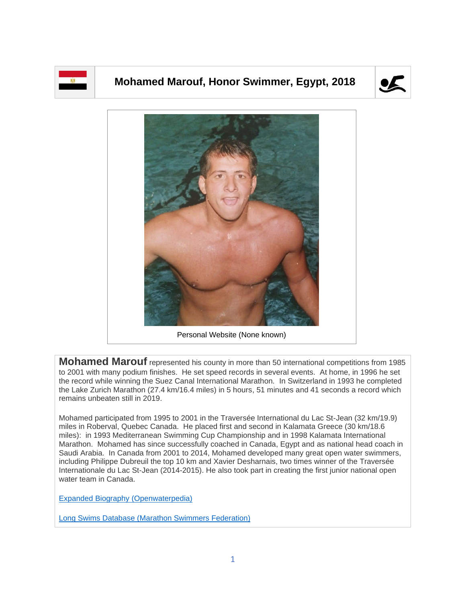

## **Mohamed Marouf, Honor Swimmer, Egypt, 2018**





**Mohamed Marouf** represented his county in more than 50 international competitions from 1985 to 2001 with many podium finishes. He set speed records in several events. At home, in 1996 he set the record while winning the Suez Canal International Marathon. In Switzerland in 1993 he completed the Lake Zurich Marathon (27.4 km/16.4 miles) in 5 hours, 51 minutes and 41 seconds a record which

Mohamed participated from 1995 to 2001 in the Traversée International du Lac St-Jean (32 km/19.9) miles in Roberval, Quebec Canada. He placed first and second in Kalamata Greece (30 km/18.6 miles): in 1993 Mediterranean Swimming Cup Championship and in 1998 Kalamata International Marathon. Mohamed has since successfully coached in Canada, Egypt and as national head coach in Saudi Arabia. In Canada from 2001 to 2014, Mohamed developed many great open water swimmers, including Philippe Dubreuil the top 10 km and Xavier Desharnais, two times winner of the Traversée Internationale du Lac St-Jean (2014-2015). He also took part in creating the first junior national open

[Expanded Biography](https://www.openwaterpedia.com/index.php?title=Mohamed_Marouf) (Openwaterpedia)

remains unbeaten still in 2019.

water team in Canada.

Long Swims Database [\(Marathon Swimmers Federation\)](https://db.marathonswimmers.org/p/mohamed-marouf/)